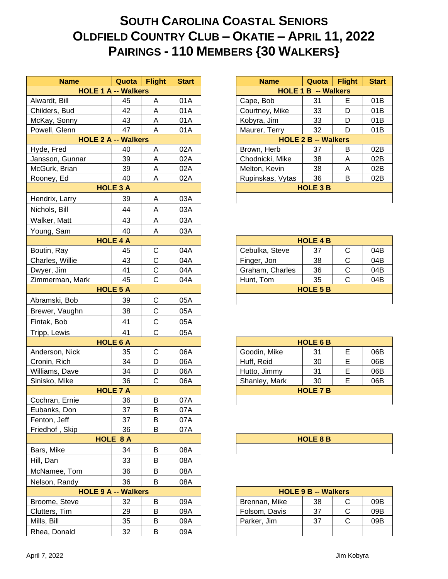## **SOUTH CAROLINA COASTAL SENIORS OLDFIELD COUNTRY CLUB – OKATIE – APRIL 11, 2022 PAIRINGS - 110 MEMBERS {30 WALKERS}**

| <b>Name</b><br><b>HOLE 1 A -- Walkers</b> | Quota           | <b>Flight</b> | <b>Start</b> | <b>Name</b>      | Quota<br><b>HOLE 1 B -- Walkers</b> | <b>Flight</b> | <b>Star</b> |
|-------------------------------------------|-----------------|---------------|--------------|------------------|-------------------------------------|---------------|-------------|
| Alwardt, Bill                             | 45              | A             | 01A          | Cape, Bob        | 31                                  | E             | 01B         |
| Childers, Bud                             | 42              | Α             | 01A          | Courtney, Mike   | 33                                  | D             | 01B         |
| McKay, Sonny                              | 43              | A             | 01A          | Kobyra, Jim      | 33                                  | D             | 01B         |
| Powell, Glenn                             | 47              | A             | 01A          | Maurer, Terry    | 32                                  | D             | 01B         |
| <b>HOLE 2 A -- Walkers</b>                |                 |               |              |                  | <b>HOLE 2 B -- Walkers</b>          |               |             |
| Hyde, Fred                                | 40              | A             | 02A          | Brown, Herb      | 37                                  | В             | 02B         |
| Jansson, Gunnar                           | 39              | A             | 02A          | Chodnicki, Mike  | 38                                  | A             | 02B         |
| McGurk, Brian                             | 39              | Α             | 02A          | Melton, Kevin    | 38                                  | Α             | 02B         |
| Rooney, Ed                                | 40              | A             | 02A          | Rupinskas, Vytas | 36                                  | B             | 02B         |
|                                           | <b>HOLE 3 A</b> |               |              |                  | <b>HOLE 3 B</b>                     |               |             |
| Hendrix, Larry                            | 39              | Α             | 03A          |                  |                                     |               |             |
| Nichols, Bill                             | 44              | A             | 03A          |                  |                                     |               |             |
| Walker, Matt                              | 43              | A             | 03A          |                  |                                     |               |             |
| Young, Sam                                | 40              | A             | 03A          |                  |                                     |               |             |
|                                           | <b>HOLE 4 A</b> |               |              |                  | <b>HOLE 4 B</b>                     |               |             |
| Boutin, Ray                               | 45              | $\mathsf C$   | 04A          | Cebulka, Steve   | 37                                  | C             | 04B         |
| Charles, Willie                           | 43              | $\mathsf C$   | 04A          | Finger, Jon      | 38                                  | $\mathsf C$   | 04B         |
| Dwyer, Jim                                | 41              | $\mathsf C$   | 04A          | Graham, Charles  | 36                                  | $\mathsf C$   | 04B         |
| Zimmerman, Mark                           | 45              | $\mathsf{C}$  | 04A          | Hunt, Tom        | 35                                  | $\mathsf{C}$  | 04B         |
|                                           | <b>HOLE 5 A</b> |               |              |                  | <b>HOLE 5 B</b>                     |               |             |
| Abramski, Bob                             | 39              | C             | 05A          |                  |                                     |               |             |
| Brewer, Vaughn                            | 38              | $\mathsf C$   | 05A          |                  |                                     |               |             |
| Fintak, Bob                               | 41              | $\mathsf C$   | 05A          |                  |                                     |               |             |
| Tripp, Lewis                              | 41              | $\mathsf{C}$  | 05A          |                  |                                     |               |             |
|                                           | <b>HOLE 6 A</b> |               |              |                  | <b>HOLE 6 B</b>                     |               |             |
| Anderson, Nick                            | 35              | C             | 06A          | Goodin, Mike     | 31                                  | E             | 06B         |
| Cronin, Rich                              | 34              | D             | 06A          | Huff, Reid       | 30                                  | E             | 06B         |
| Williams, Dave                            | 34              | D             | 06A          | Hutto, Jimmy     | 31                                  | E             | 06B         |
| Sinisko, Mike                             | 36              | $\mathsf C$   | 06A          | Shanley, Mark    | 30                                  | E             | 06B         |
|                                           | <b>HOLE 7 A</b> |               |              |                  | <b>HOLE 7 B</b>                     |               |             |
| Cochran, Ernie                            | 36              | B             | 07A          |                  |                                     |               |             |
| Eubanks, Don                              | 37              | B             | 07A          |                  |                                     |               |             |
| Fenton, Jeff                              | 37              | B             | 07A          |                  |                                     |               |             |
| Friedhof, Skip                            | 36              | B             | 07A          |                  |                                     |               |             |
|                                           | HOLE 8 A        |               |              |                  | <b>HOLE 8 B</b>                     |               |             |
| Bars, Mike                                | 34              | В             | 08A          |                  |                                     |               |             |
| Hill, Dan                                 | 33              | B             | 08A          |                  |                                     |               |             |
| McNamee, Tom                              | 36              | B             | 08A          |                  |                                     |               |             |
| Nelson, Randy                             | 36              | B             | 08A          |                  |                                     |               |             |
| <b>HOLE 9 A -- Walkers</b>                |                 |               |              |                  | <b>HOLE 9 B -- Walkers</b>          |               |             |
| Broome, Steve                             | 32              | B             | 09A          | Brennan, Mike    | 38                                  | С             | 09B         |
| Clutters, Tim                             | 29              | B             | 09A          | Folsom, Davis    | 37                                  | C             | 09B         |
| Mills, Bill                               | 35              | B             | 09A          | Parker, Jim      | 37                                  | $\mathsf C$   | 09B         |
| Rhea, Donald                              | 32              | B             | 09A          |                  |                                     |               |             |

| <b>Name</b>                | Quota           | <b>Flight</b> | <b>Start</b> | <b>Name</b>                | Quota | <b>Flight</b> | <b>Start</b> |
|----------------------------|-----------------|---------------|--------------|----------------------------|-------|---------------|--------------|
| <b>HOLE 1 A -- Walkers</b> |                 |               |              | <b>HOLE 1 B -- Walkers</b> |       |               |              |
| Bill                       | 45              | Α             | 01A          | Cape, Bob                  | 31    | Е             | 01B          |
| <b>Bud</b>                 | 42              | Α             | 01A          | Courtney, Mike             | 33    | D             | 01B          |
| 3onny                      | 43              | A             | 01A          | Kobyra, Jim                | 33    | D             | 01B          |
| Glenn                      | 47              | A             | 01A          | Maurer, Terry<br>32        |       | D             | 01B          |
| <b>HOLE 2 A -- Walkers</b> |                 |               |              | <b>HOLE 2 B -- Walkers</b> |       |               |              |
| ed                         | 40              | Α             | 02A          | Brown, Herb                | 37    | B             | 02B          |
| Gunnar                     | 39              | Α             | 02A          | Chodnicki, Mike<br>38<br>Α |       |               | 02B          |
| <b>Brian</b>               | 39              | Α             | 02A          | Melton, Kevin              | 38    | Α             | 02B          |
| Ed                         | 40              | A             | 02A          | Rupinskas, Vytas           | 36    | B             | 02B          |
|                            | <b>HOLE 3 A</b> |               |              | <b>HOLE 3 B</b>            |       |               |              |
| Larry                      | 39              | Α             | 03A          |                            |       |               |              |
|                            |                 |               |              |                            |       |               |              |

| <b>HOLE 4 B</b>                  |    |   |     |  |  |
|----------------------------------|----|---|-----|--|--|
| Cebulka, Steve<br>04B<br>37<br>C |    |   |     |  |  |
| Finger, Jon                      | 38 | C | 04B |  |  |
| Graham, Charles                  | 36 | C | 04B |  |  |
| Hunt, Tom                        | 35 | C | 04B |  |  |
| <b>HOLE 5 B</b>                  |    |   |     |  |  |
|                                  |    |   |     |  |  |

| <b>HOLE 6 B</b> |    |   |     |  |  |  |
|-----------------|----|---|-----|--|--|--|
| Goodin, Mike    | 31 | F | 06B |  |  |  |
| Huff, Reid      | 30 | F | 06B |  |  |  |
| Hutto, Jimmy    | 31 | F | 06B |  |  |  |
| Shanley, Mark   | 30 | F | 06B |  |  |  |
| <b>HOLE 7 B</b> |    |   |     |  |  |  |
|                 |    |   |     |  |  |  |

| <b>HOLE 8 B</b> |
|-----------------|
|                 |

| <b>HOLE 9 B -- Walkers</b> |    |  |     |  |  |  |
|----------------------------|----|--|-----|--|--|--|
| Brennan, Mike<br>38<br>09B |    |  |     |  |  |  |
| Folsom, Davis              | 37 |  | 09B |  |  |  |
| Parker, Jim                | 37 |  | ∩9R |  |  |  |
|                            |    |  |     |  |  |  |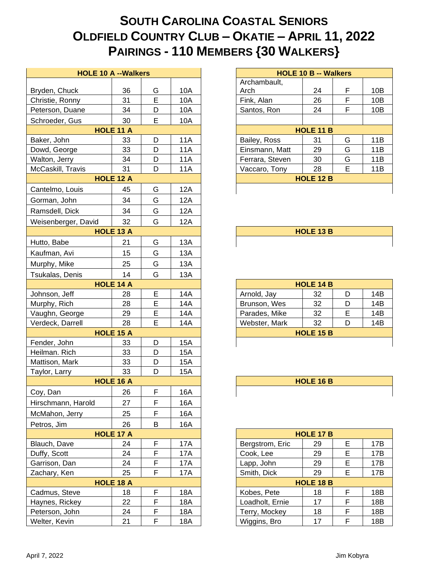## **SOUTH CAROLINA COASTAL SENIORS OLDFIELD COUNTRY CLUB – OKATIE – APRIL 11, 2022 PAIRINGS - 110 MEMBERS {30 WALKERS}**

| <b>HOLE 10 A -- Walkers</b> |                  |             |            | <b>HOLE 10 B -- Walkers</b>               |
|-----------------------------|------------------|-------------|------------|-------------------------------------------|
|                             |                  |             |            | Archambault,                              |
| Bryden, Chuck               | 36               | G           | 10A        | Arch<br>24<br>F<br>10B                    |
| Christie, Ronny             | 31               | $\mathsf E$ | 10A        | F.<br>Fink, Alan<br>26<br>10B             |
| Peterson, Duane             | 34               | D           | 10A        | F<br>24<br>Santos, Ron<br>10B             |
| Schroeder, Gus              | 30               | E           | 10A        |                                           |
|                             | <b>HOLE 11 A</b> |             |            | HOLE 11 B                                 |
| Baker, John                 | 33               | D           | <b>11A</b> | 11B<br>31<br>G<br>Bailey, Ross            |
| Dowd, George                | 33               | D           | <b>11A</b> | G<br>Einsmann, Matt<br>29<br>11B          |
| Walton, Jerry               | 34               | D           | <b>11A</b> | G<br>Ferrara, Steven<br>30<br>11B         |
| McCaskill, Travis           | 31               | D           | 11A        | E<br>28<br>11B<br>Vaccaro, Tony           |
|                             | HOLE 12 A        |             |            | HOLE 12 B                                 |
| Cantelmo, Louis             | 45               | G           | 12A        |                                           |
| Gorman, John                | 34               | G           | 12A        |                                           |
| Ramsdell, Dick              | 34               | G           | 12A        |                                           |
| Weisenberger, David         | 32               | G           | 12A        |                                           |
|                             | HOLE 13 A        |             |            | HOLE 13 B                                 |
| Hutto, Babe                 | 21               | G           | 13A        |                                           |
| Kaufman, Avi                | 15               | G           | 13A        |                                           |
| Murphy, Mike                | 25               | G           | 13A        |                                           |
| Tsukalas, Denis             | 14               | G           | 13A        |                                           |
|                             | <b>HOLE 14 A</b> |             |            | <b>HOLE 14 B</b>                          |
| Johnson, Jeff               | 28               | E           | <b>14A</b> | D<br>Arnold, Jay<br>32<br>14B             |
| Murphy, Rich                | 28               | E           | <b>14A</b> | 32<br>D<br>14B<br>Brunson, Wes            |
| Vaughn, George              | 29               | E           | 14A        | E<br>Parades, Mike<br>32<br>14B           |
| Verdeck, Darrell            | 28               | E           | 14A        | 32<br>D<br>Webster, Mark<br>14B           |
|                             | HOLE 15 A        |             |            | <b>HOLE 15 B</b>                          |
| Fender, John                | 33               | D           | <b>15A</b> |                                           |
| Heilman. Rich               | 33               | D           | <b>15A</b> |                                           |
| Mattison, Mark              | 33               | D           | 15A        |                                           |
| Taylor, Larry               | 33               | D           | 15A        |                                           |
|                             | HOLE 16 A        |             |            | HOLE 16 B                                 |
| Coy, Dan                    | 26               | F           | 16A        |                                           |
| Hirschmann, Harold          | 27               | F           | 16A        |                                           |
| McMahon, Jerry              | 25               | F           | 16A        |                                           |
| Petros, Jim                 | 26               | B           | 16A        |                                           |
|                             | HOLE 17 A        |             |            | HOLE 17 B                                 |
| Blauch, Dave                | 24               | F           | 17A        | E<br>Bergstrom, Eric<br>29<br>17B         |
| Duffy, Scott                | 24               | F           | 17A        | E<br>29<br>17B<br>Cook, Lee               |
| Garrison, Dan               | 24               | F           | 17A        | E<br>Lapp, John<br>29<br>17B              |
| Zachary, Ken                | 25               | F           | 17A        | E<br>29<br>Smith, Dick<br>17B             |
|                             | <b>HOLE 18 A</b> |             |            | HOLE 18 B                                 |
| Cadmus, Steve               | 18               | F           | 18A        | F<br>Kobes, Pete<br>18<br>18B             |
| Haynes, Rickey              | 22               | $\mathsf F$ | <b>18A</b> | F<br>17<br>Loadholt, Ernie<br>18B         |
| Peterson, John              | 24               | F           | 18A        | $\mathsf F$<br>Terry, Mockey<br>18<br>18B |
| Welter, Kevin               | 21               | $\mathsf F$ | 18A        | F<br>Wiggins, Bro<br>17<br>18B            |
|                             |                  |             |            |                                           |

| <b>HOLE 10 B -- Walkers</b> |    |   |     |  |  |  |
|-----------------------------|----|---|-----|--|--|--|
| Archambault,                |    |   |     |  |  |  |
| Arch                        | 24 | F | 10B |  |  |  |
| Fink, Alan                  | 26 | F | 10B |  |  |  |
| Santos, Ron                 | 24 | F | 10B |  |  |  |
|                             |    |   |     |  |  |  |
| <b>HOLE 11 B</b>            |    |   |     |  |  |  |
| Bailey, Ross                | 31 | G | 11B |  |  |  |
| Einsmann, Matt              | 29 | G | 11B |  |  |  |
| Ferrara, Steven             | 30 | G | 11B |  |  |  |
| Vaccaro, Tony               | 28 | F | 11B |  |  |  |
| <b>HOLE 12 B</b>            |    |   |     |  |  |  |
|                             |    |   |     |  |  |  |

| <b>HOLE 14 B</b>         |    |   |     |  |  |  |
|--------------------------|----|---|-----|--|--|--|
| 14B<br>Arnold, Jay<br>32 |    |   |     |  |  |  |
| Brunson, Wes             | 32 |   | 14B |  |  |  |
| Parades, Mike            | 32 | F | 14B |  |  |  |
| Webster, Mark            | 32 |   | 14B |  |  |  |
| <b>HOLE 15 B</b>         |    |   |     |  |  |  |
|                          |    |   |     |  |  |  |

| <b>HOLE 16 B</b> |  |
|------------------|--|
|                  |  |

| <b>HOLE 17 B</b> |    |   |     |  |  |  |  |
|------------------|----|---|-----|--|--|--|--|
| Bergstrom, Eric  | 29 | Е | 17B |  |  |  |  |
| Cook, Lee        | 29 | Е | 17B |  |  |  |  |
| Lapp, John       | 29 | Е | 17B |  |  |  |  |
| Smith, Dick      | 29 | Е | 17B |  |  |  |  |
| <b>HOLE 18 B</b> |    |   |     |  |  |  |  |
| Kobes, Pete      | 18 | F | 18B |  |  |  |  |
| Loadholt, Ernie  | 17 | F | 18B |  |  |  |  |
| Terry, Mockey    | 18 | F | 18B |  |  |  |  |
| Wiggins, Bro     | 17 | c | 18B |  |  |  |  |